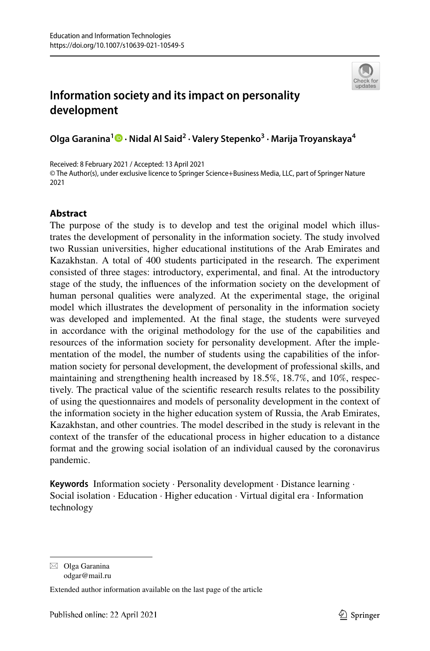

# **Information society and its impact on personality development**

**Olga Garanina<sup>1</sup> · Nidal Al Said<sup>2</sup> · Valery Stepenko<sup>3</sup> · Marija Troyanskaya<sup>4</sup>**

Received: 8 February 2021 / Accepted: 13 April 2021 © The Author(s), under exclusive licence to Springer Science+Business Media, LLC, part of Springer Nature 2021

# **Abstract**

The purpose of the study is to develop and test the original model which illustrates the development of personality in the information society. The study involved two Russian universities, higher educational institutions of the Arab Emirates and Kazakhstan. A total of 400 students participated in the research. The experiment consisted of three stages: introductory, experimental, and final. At the introductory stage of the study, the influences of the information society on the development of human personal qualities were analyzed. At the experimental stage, the original model which illustrates the development of personality in the information society was developed and implemented. At the final stage, the students were surveyed in accordance with the original methodology for the use of the capabilities and resources of the information society for personality development. After the implementation of the model, the number of students using the capabilities of the information society for personal development, the development of professional skills, and maintaining and strengthening health increased by 18.5%, 18.7%, and 10%, respectively. The practical value of the scientific research results relates to the possibility of using the questionnaires and models of personality development in the context of the information society in the higher education system of Russia, the Arab Emirates, Kazakhstan, and other countries. The model described in the study is relevant in the context of the transfer of the educational process in higher education to a distance format and the growing social isolation of an individual caused by the coronavirus pandemic.

**Keywords** Information society · Personality development · Distance learning · Social isolation · Education · Higher education · Virtual digital era · Information technology

 $\boxtimes$  Olga Garanina odgar@mail.ru

Extended author information available on the last page of the article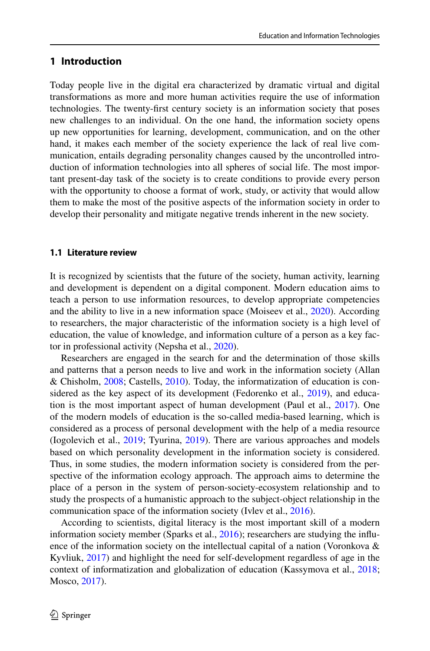#### **1 Introduction**

Today people live in the digital era characterized by dramatic virtual and digital transformations as more and more human activities require the use of information technologies. The twenty-first century society is an information society that poses new challenges to an individual. On the one hand, the information society opens up new opportunities for learning, development, communication, and on the other hand, it makes each member of the society experience the lack of real live communication, entails degrading personality changes caused by the uncontrolled introduction of information technologies into all spheres of social life. The most important present-day task of the society is to create conditions to provide every person with the opportunity to choose a format of work, study, or activity that would allow them to make the most of the positive aspects of the information society in order to develop their personality and mitigate negative trends inherent in the new society.

#### **1.1 Literature review**

It is recognized by scientists that the future of the society, human activity, learning and development is dependent on a digital component. Modern education aims to teach a person to use information resources, to develop appropriate competencies and the ability to live in a new information space (Moiseev et al., [2020\)](#page-17-0). According to researchers, the major characteristic of the information society is a high level of education, the value of knowledge, and information culture of a person as a key factor in professional activity (Nepsha et al., [2020](#page-17-1)).

Researchers are engaged in the search for and the determination of those skills and patterns that a person needs to live and work in the information society (Allan & Chisholm, [2008](#page-16-0); Castells, [2010](#page-16-1)). Today, the informatization of education is considered as the key aspect of its development (Fedorenko et al., [2019](#page-17-2)), and educa-tion is the most important aspect of human development (Paul et al., [2017](#page-18-0)). One of the modern models of education is the so-called media-based learning, which is considered as a process of personal development with the help of a media resource (Iogolevich et al., [2019](#page-17-3); Tyurina, [2019](#page-18-1)). There are various approaches and models based on which personality development in the information society is considered. Thus, in some studies, the modern information society is considered from the perspective of the information ecology approach. The approach aims to determine the place of a person in the system of person-society-ecosystem relationship and to study the prospects of a humanistic approach to the subject-object relationship in the communication space of the information society (Ivlev et al., [2016\)](#page-17-4).

According to scientists, digital literacy is the most important skill of a modern information society member (Sparks et al., [2016](#page-18-2)); researchers are studying the influence of the information society on the intellectual capital of a nation (Voronkova  $\&$ Kyvliuk, [2017](#page-18-3)) and highlight the need for self-development regardless of age in the context of informatization and globalization of education (Kassymova et al., [2018;](#page-17-5) Mosco, [2017](#page-17-6)).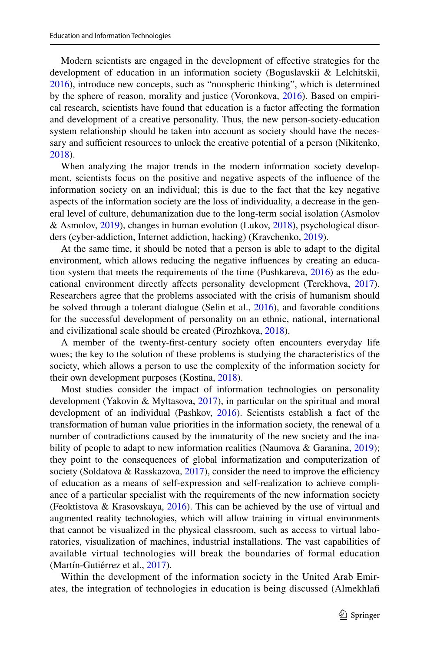Modern scientists are engaged in the development of effective strategies for the development of education in an information society (Boguslavskii & Lelchitskii, [2016](#page-16-2)), introduce new concepts, such as "noospheric thinking", which is determined by the sphere of reason, morality and justice (Voronkova, [2016\)](#page-18-4). Based on empirical research, scientists have found that education is a factor affecting the formation and development of a creative personality. Thus, the new person-society-education system relationship should be taken into account as society should have the necessary and sufficient resources to unlock the creative potential of a person (Nikitenko, [2018](#page-18-5)).

When analyzing the major trends in the modern information society development, scientists focus on the positive and negative aspects of the influence of the information society on an individual; this is due to the fact that the key negative aspects of the information society are the loss of individuality, a decrease in the general level of culture, dehumanization due to the long-term social isolation (Asmolov & Asmolov, [2019](#page-16-3)), changes in human evolution (Lukov, [2018\)](#page-17-7), psychological disorders (cyber-addiction, Internet addiction, hacking) (Kravchenko, [2019](#page-17-8)).

At the same time, it should be noted that a person is able to adapt to the digital environment, which allows reducing the negative influences by creating an education system that meets the requirements of the time (Pushkareva, [2016](#page-18-6)) as the educational environment directly affects personality development (Terekhova, [2017\)](#page-18-7). Researchers agree that the problems associated with the crisis of humanism should be solved through a tolerant dialogue (Selin et al., [2016\)](#page-18-8), and favorable conditions for the successful development of personality on an ethnic, national, international and civilizational scale should be created (Pirozhkova, [2018\)](#page-18-9).

A member of the twenty-first-century society often encounters everyday life woes; the key to the solution of these problems is studying the characteristics of the society, which allows a person to use the complexity of the information society for their own development purposes (Kostina, [2018\)](#page-17-9).

Most studies consider the impact of information technologies on personality development (Yakovin & Myltasova, [2017\)](#page-18-10), in particular on the spiritual and moral development of an individual (Pashkov, [2016\)](#page-18-11). Scientists establish a fact of the transformation of human value priorities in the information society, the renewal of a number of contradictions caused by the immaturity of the new society and the ina-bility of people to adapt to new information realities (Naumova & Garanina, [2019](#page-17-10)); they point to the consequences of global informatization and computerization of society (Soldatova & Rasskazova, [2017\)](#page-18-12), consider the need to improve the efficiency of education as a means of self-expression and self-realization to achieve compliance of a particular specialist with the requirements of the new information society (Feoktistova & Krasovskaya, [2016\)](#page-17-11). This can be achieved by the use of virtual and augmented reality technologies, which will allow training in virtual environments that cannot be visualized in the physical classroom, such as access to virtual laboratories, visualization of machines, industrial installations. The vast capabilities of available virtual technologies will break the boundaries of formal education (Martín-Gutiérrez et al., [2017\)](#page-17-12).

Within the development of the information society in the United Arab Emirates, the integration of technologies in education is being discussed (Almekhlafi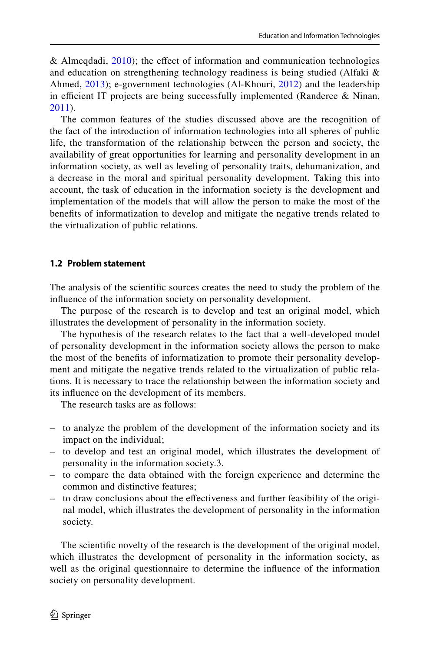& Almegdadi,  $2010$ ; the effect of information and communication technologies and education on strengthening technology readiness is being studied (Alfaki & Ahmed, [2013\)](#page-16-5); e-government technologies (Al-Khouri, [2012](#page-16-6)) and the leadership in efficient IT projects are being successfully implemented (Randeree & Ninan, [2011\)](#page-18-13).

The common features of the studies discussed above are the recognition of the fact of the introduction of information technologies into all spheres of public life, the transformation of the relationship between the person and society, the availability of great opportunities for learning and personality development in an information society, as well as leveling of personality traits, dehumanization, and a decrease in the moral and spiritual personality development. Taking this into account, the task of education in the information society is the development and implementation of the models that will allow the person to make the most of the benefits of informatization to develop and mitigate the negative trends related to the virtualization of public relations.

#### **1.2 Problem statement**

The analysis of the scientific sources creates the need to study the problem of the influence of the information society on personality development.

The purpose of the research is to develop and test an original model, which illustrates the development of personality in the information society.

The hypothesis of the research relates to the fact that a well-developed model of personality development in the information society allows the person to make the most of the benefits of informatization to promote their personality development and mitigate the negative trends related to the virtualization of public relations. It is necessary to trace the relationship between the information society and its influence on the development of its members.

The research tasks are as follows:

- to analyze the problem of the development of the information society and its impact on the individual;
- to develop and test an original model, which illustrates the development of personality in the information society.3.
- to compare the data obtained with the foreign experience and determine the common and distinctive features;
- to draw conclusions about the effectiveness and further feasibility of the original model, which illustrates the development of personality in the information society.

The scientific novelty of the research is the development of the original model, which illustrates the development of personality in the information society, as well as the original questionnaire to determine the influence of the information society on personality development.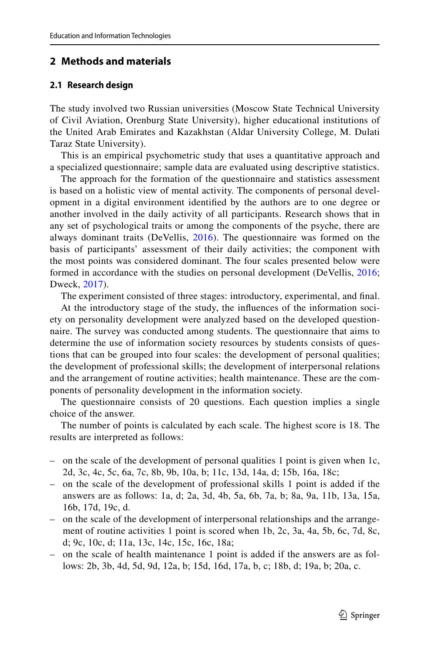#### **2 Methods and materials**

#### **2.1 Research design**

The study involved two Russian universities (Moscow State Technical University of Civil Aviation, Orenburg State University), higher educational institutions of the United Arab Emirates and Kazakhstan (Aldar University College, M. Dulati Taraz State University).

This is an empirical psychometric study that uses a quantitative approach and a specialized questionnaire; sample data are evaluated using descriptive statistics.

The approach for the formation of the questionnaire and statistics assessment is based on a holistic view of mental activity. The components of personal development in a digital environment identified by the authors are to one degree or another involved in the daily activity of all participants. Research shows that in any set of psychological traits or among the components of the psyche, there are always dominant traits (DeVellis, [2016\)](#page-17-13). The questionnaire was formed on the basis of participants' assessment of their daily activities; the component with the most points was considered dominant. The four scales presented below were formed in accordance with the studies on personal development (DeVellis, [2016;](#page-17-13) Dweck, [2017\)](#page-17-14).

The experiment consisted of three stages: introductory, experimental, and final.

At the introductory stage of the study, the influences of the information society on personality development were analyzed based on the developed questionnaire. The survey was conducted among students. The questionnaire that aims to determine the use of information society resources by students consists of questions that can be grouped into four scales: the development of personal qualities; the development of professional skills; the development of interpersonal relations and the arrangement of routine activities; health maintenance. These are the components of personality development in the information society.

The questionnaire consists of 20 questions. Each question implies a single choice of the answer.

The number of points is calculated by each scale. The highest score is 18. The results are interpreted as follows:

- on the scale of the development of personal qualities 1 point is given when 1c, 2d, 3c, 4c, 5c, 6a, 7c, 8b, 9b, 10a, b; 11c, 13d, 14a, d; 15b, 16a, 18c;
- on the scale of the development of professional skills 1 point is added if the answers are as follows: 1a, d; 2a, 3d, 4b, 5a, 6b, 7a, b; 8a, 9a, 11b, 13a, 15a, 16b, 17d, 19c, d.
- on the scale of the development of interpersonal relationships and the arrangement of routine activities 1 point is scored when 1b, 2c, 3a, 4a, 5b, 6c, 7d, 8c, d; 9c, 10c, d; 11a, 13c, 14c, 15c, 16c, 18a;
- on the scale of health maintenance 1 point is added if the answers are as follows: 2b, 3b, 4d, 5d, 9d, 12a, b; 15d, 16d, 17a, b, c; 18b, d; 19a, b; 20a, c.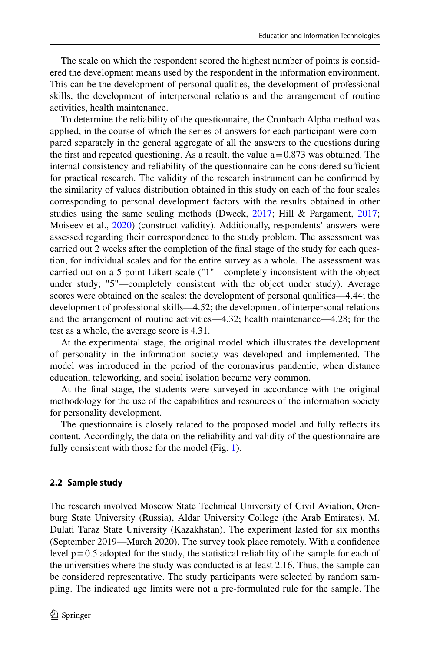The scale on which the respondent scored the highest number of points is considered the development means used by the respondent in the information environment. This can be the development of personal qualities, the development of professional skills, the development of interpersonal relations and the arrangement of routine activities, health maintenance.

To determine the reliability of the questionnaire, the Cronbach Alpha method was applied, in the course of which the series of answers for each participant were compared separately in the general aggregate of all the answers to the questions during the first and repeated questioning. As a result, the value  $a = 0.873$  was obtained. The internal consistency and reliability of the questionnaire can be considered sufficient for practical research. The validity of the research instrument can be confirmed by the similarity of values distribution obtained in this study on each of the four scales corresponding to personal development factors with the results obtained in other studies using the same scaling methods (Dweck, [2017](#page-17-14); Hill & Pargament, [2017;](#page-17-15) Moiseev et al., [2020\)](#page-17-0) (construct validity). Additionally, respondents' answers were assessed regarding their correspondence to the study problem. The assessment was carried out 2 weeks after the completion of the final stage of the study for each question, for individual scales and for the entire survey as a whole. The assessment was carried out on a 5-point Likert scale ("1"—completely inconsistent with the object under study; "5"—completely consistent with the object under study). Average scores were obtained on the scales: the development of personal qualities—4.44; the development of professional skills—4.52; the development of interpersonal relations and the arrangement of routine activities—4.32; health maintenance—4.28; for the test as a whole, the average score is 4.31.

At the experimental stage, the original model which illustrates the development of personality in the information society was developed and implemented. The model was introduced in the period of the coronavirus pandemic, when distance education, teleworking, and social isolation became very common.

At the final stage, the students were surveyed in accordance with the original methodology for the use of the capabilities and resources of the information society for personality development.

The questionnaire is closely related to the proposed model and fully reflects its content. Accordingly, the data on the reliability and validity of the questionnaire are fully consistent with those for the model (Fig. [1](#page-6-0)).

#### **2.2 Sample study**

The research involved Moscow State Technical University of Civil Aviation, Orenburg State University (Russia), Aldar University College (the Arab Emirates), M. Dulati Taraz State University (Kazakhstan). The experiment lasted for six months (September 2019—March 2020). The survey took place remotely. With a confidence level  $p = 0.5$  adopted for the study, the statistical reliability of the sample for each of the universities where the study was conducted is at least 2.16. Thus, the sample can be considered representative. The study participants were selected by random sampling. The indicated age limits were not a pre-formulated rule for the sample. The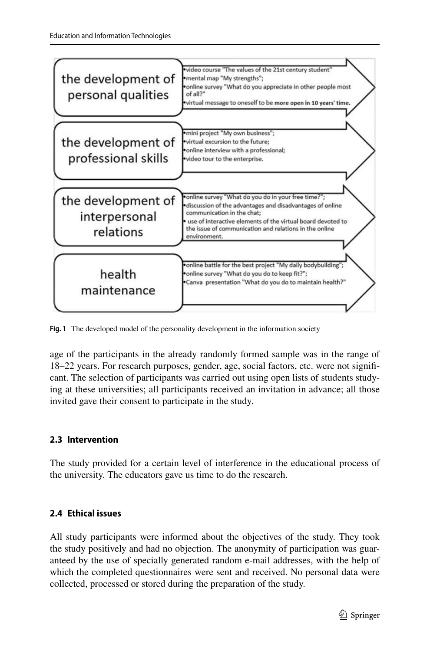

<span id="page-6-0"></span>**Fig. 1** The developed model of the personality development in the information society

age of the participants in the already randomly formed sample was in the range of 18–22 years. For research purposes, gender, age, social factors, etc. were not significant. The selection of participants was carried out using open lists of students studying at these universities; all participants received an invitation in advance; all those invited gave their consent to participate in the study.

## **2.3 Intervention**

The study provided for a certain level of interference in the educational process of the university. The educators gave us time to do the research.

# **2.4 Ethical issues**

All study participants were informed about the objectives of the study. They took the study positively and had no objection. The anonymity of participation was guaranteed by the use of specially generated random e-mail addresses, with the help of which the completed questionnaires were sent and received. No personal data were collected, processed or stored during the preparation of the study.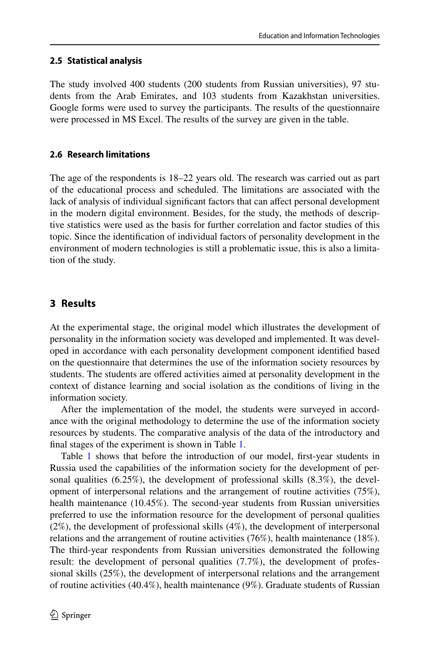## **2.5 Statistical analysis**

The study involved 400 students (200 students from Russian universities), 97 students from the Arab Emirates, and 103 students from Kazakhstan universities. Google forms were used to survey the participants. The results of the questionnaire were processed in MS Excel. The results of the survey are given in the table.

## **2.6 Research limitations**

The age of the respondents is 18–22 years old. The research was carried out as part of the educational process and scheduled. The limitations are associated with the lack of analysis of individual significant factors that can affect personal development in the modern digital environment. Besides, for the study, the methods of descriptive statistics were used as the basis for further correlation and factor studies of this topic. Since the identification of individual factors of personality development in the environment of modern technologies is still a problematic issue, this is also a limitation of the study.

# **3 Results**

At the experimental stage, the original model which illustrates the development of personality in the information society was developed and implemented. It was developed in accordance with each personality development component identified based on the questionnaire that determines the use of the information society resources by students. The students are offered activities aimed at personality development in the context of distance learning and social isolation as the conditions of living in the information society.

After the implementation of the model, the students were surveyed in accordance with the original methodology to determine the use of the information society resources by students. The comparative analysis of the data of the introductory and final stages of the experiment is shown in Table [1.](#page-8-0)

Table [1](#page-8-0) shows that before the introduction of our model, first-year students in Russia used the capabilities of the information society for the development of personal qualities (6.25%), the development of professional skills (8.3%), the development of interpersonal relations and the arrangement of routine activities (75%), health maintenance (10.45%). The second-year students from Russian universities preferred to use the information resource for the development of personal qualities (2%), the development of professional skills (4%), the development of interpersonal relations and the arrangement of routine activities (76%), health maintenance (18%). The third-year respondents from Russian universities demonstrated the following result: the development of personal qualities (7.7%), the development of professional skills (25%), the development of interpersonal relations and the arrangement of routine activities (40.4%), health maintenance (9%). Graduate students of Russian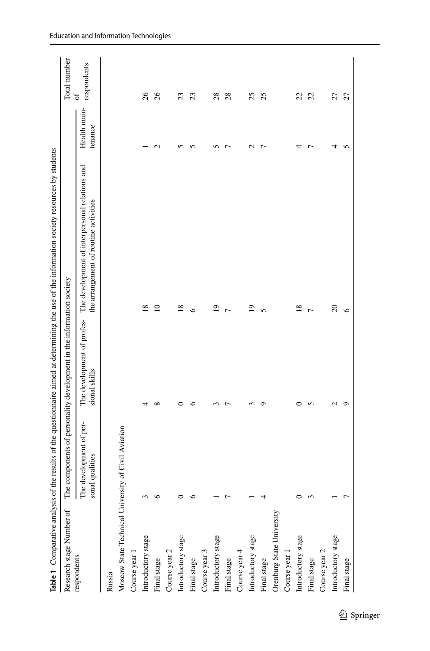<span id="page-8-0"></span>

|                                   |                                            |                                                                      | Table 1 Comparative analysis of the results of the questionnaire aimed at determining the use of the information society resources by students |                         |                         |
|-----------------------------------|--------------------------------------------|----------------------------------------------------------------------|------------------------------------------------------------------------------------------------------------------------------------------------|-------------------------|-------------------------|
| Research stage Number of          |                                            | The components of personality development in the information society |                                                                                                                                                |                         | Total number            |
| respondents                       | The development of per-<br>sonal qualities | The development of profes-<br>sional skills                          | The development of interpersonal relations and<br>the arrangement of routine activities                                                        | Health main-<br>tenance | respondents<br>$\sigma$ |
| Russia                            |                                            |                                                                      |                                                                                                                                                |                         |                         |
| Moscow State Technical University | of Civil Aviation                          |                                                                      |                                                                                                                                                |                         |                         |
| Course year 1                     |                                            |                                                                      |                                                                                                                                                |                         |                         |
| Introductory stage                |                                            | 4                                                                    | 18                                                                                                                                             |                         | 26                      |
| Final stage                       | ∽                                          | ${}^{\circ}$                                                         | $\overline{10}$                                                                                                                                | $\mathbf{C}$            | 26                      |
| Course year 2                     |                                            |                                                                      |                                                                                                                                                |                         |                         |
| Introductory stage                |                                            | っ                                                                    | $\overline{18}$                                                                                                                                | n                       | 23                      |
| Final stage                       | ∽                                          | $\circ$                                                              | $\circ$                                                                                                                                        | n                       | 23                      |
| Course year 3                     |                                            |                                                                      |                                                                                                                                                |                         |                         |
| Introductory stage                |                                            | $\sim$                                                               | $\overline{1}$                                                                                                                                 | n                       | 28                      |
| Final stage                       |                                            | 7                                                                    | Γ                                                                                                                                              | $\overline{ }$          | 28                      |
| Course year 4                     |                                            |                                                                      |                                                                                                                                                |                         |                         |
| Introductory stage                |                                            | 3                                                                    | $\overline{1}$                                                                                                                                 | $\mathbf{\sim}$         | 25                      |
| Final stage                       | 4                                          | $\circ$                                                              | $\overline{5}$                                                                                                                                 | $\overline{ }$          | 25                      |
| Orenburg State University         |                                            |                                                                      |                                                                                                                                                |                         |                         |
| Course year 1                     |                                            |                                                                      |                                                                                                                                                |                         |                         |
| Introductory stage                |                                            | ∊                                                                    | 18                                                                                                                                             | ᆉ                       | 22                      |
| Final stage                       |                                            | 5                                                                    | $\overline{ }$                                                                                                                                 | $\overline{ }$          | 22                      |
| Course year 2                     |                                            |                                                                      |                                                                                                                                                |                         |                         |
| Introductory stage                |                                            | Z                                                                    | $\Omega$                                                                                                                                       | ↤                       | 27                      |
| Final stage                       |                                            | $\circ$                                                              | $\circ$                                                                                                                                        | n                       | 27                      |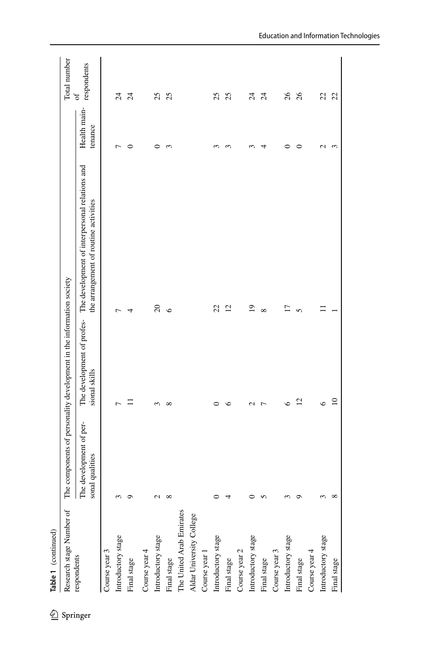| Research stage Number of |                                            | The components of personality development in the information society |                                                                                         |                         | Total number     |
|--------------------------|--------------------------------------------|----------------------------------------------------------------------|-----------------------------------------------------------------------------------------|-------------------------|------------------|
| respondents              | The development of per-<br>sonal qualities | The development of profes-<br>sional skills                          | The development of interpersonal relations and<br>the arrangement of routine activities | Health main-<br>tenance | respondents<br>đ |
| Course year 3            |                                            |                                                                      |                                                                                         |                         |                  |
| Introductory stage       |                                            | 7                                                                    | Γ                                                                                       | ↽                       | $\overline{c}$   |
| Final stage              |                                            | Ξ                                                                    | 4                                                                                       | $\circ$                 | $\overline{c}$   |
| Course year 4            |                                            |                                                                      |                                                                                         |                         |                  |
| Introductory stage       | $\mathbf{\sim}$                            | 3                                                                    | $\Omega$                                                                                | $\circ$                 | 25               |
| Final stage              |                                            | $\infty$                                                             | $\circ$                                                                                 | 3                       | 25               |
| The United Arab Emirates |                                            |                                                                      |                                                                                         |                         |                  |
| Aldar University College |                                            |                                                                      |                                                                                         |                         |                  |
| Course year 1            |                                            |                                                                      |                                                                                         |                         |                  |
| Introductory stage       |                                            | 0                                                                    | 22                                                                                      | 3                       | 25               |
| Final stage              |                                            | $\circ$                                                              | $\overline{c}$                                                                          | 3                       | 25               |
| Course year 2            |                                            |                                                                      |                                                                                         |                         |                  |
| Introductory stage       |                                            | $\mathcal{L}$                                                        | $\overline{19}$                                                                         | 3                       | $\overline{c}$   |
| Final stage              |                                            | $\overline{ }$                                                       | $\infty$                                                                                | 4                       | $\overline{24}$  |
| Course year 3            |                                            |                                                                      |                                                                                         |                         |                  |
| Introductory stage       |                                            | $\bullet$                                                            | $\overline{17}$                                                                         | 0                       | 26               |
| Final stage              |                                            | 12                                                                   | $\mathbf{r}$                                                                            | $\circ$                 | 26               |
| Course year 4            |                                            |                                                                      |                                                                                         |                         |                  |
| Introductory stage       |                                            | $\circ$                                                              |                                                                                         | $\mathbf{c}$            | 22               |
| Final stage              | $\infty$                                   | $\overline{10}$                                                      |                                                                                         | 3                       | 22               |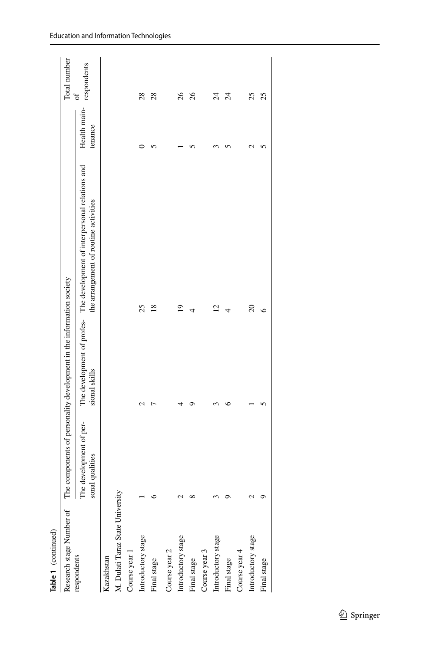| Table 1 (continued)              |                                            |                                                                  |                                                                                                                    |                                    |                 |
|----------------------------------|--------------------------------------------|------------------------------------------------------------------|--------------------------------------------------------------------------------------------------------------------|------------------------------------|-----------------|
| Research stage Number of         | The                                        | components of personality development in the information society |                                                                                                                    |                                    | Total number    |
| respondents                      | The development of per-<br>sonal qualities | sional skills                                                    | The development of profes- The development of interpersonal relations and<br>the arrangement of routine activities | Health main-respondents<br>tenance | ð               |
| Kazakhstan                       |                                            |                                                                  |                                                                                                                    |                                    |                 |
| M. Dulati Taraz State University |                                            |                                                                  |                                                                                                                    |                                    |                 |
| Course year 1                    |                                            |                                                                  |                                                                                                                    |                                    |                 |
| Introductory stage               |                                            | N                                                                | 25                                                                                                                 | ⊂                                  | 28              |
| Final stage                      |                                            | ŗ                                                                | $^{18}$                                                                                                            |                                    | 28              |
| Course year 2                    |                                            |                                                                  |                                                                                                                    |                                    |                 |
| Introductory stage               |                                            |                                                                  | $\overline{0}$                                                                                                     |                                    | 26              |
| Final stage                      |                                            | ᡋ                                                                | 4                                                                                                                  |                                    | 26              |
| Course year 3                    |                                            |                                                                  |                                                                                                                    |                                    |                 |
| Introductory stage               |                                            |                                                                  | $\overline{c}$                                                                                                     |                                    | $\overline{24}$ |
| Final stage                      |                                            | ∘                                                                | 4                                                                                                                  |                                    | $\overline{24}$ |
| Course year 4                    |                                            |                                                                  |                                                                                                                    |                                    |                 |
| Introductory stage               |                                            |                                                                  | $\Omega$                                                                                                           | N                                  | 25              |
| Final stage                      |                                            |                                                                  | ७                                                                                                                  | n                                  | 25              |
|                                  |                                            |                                                                  |                                                                                                                    |                                    |                 |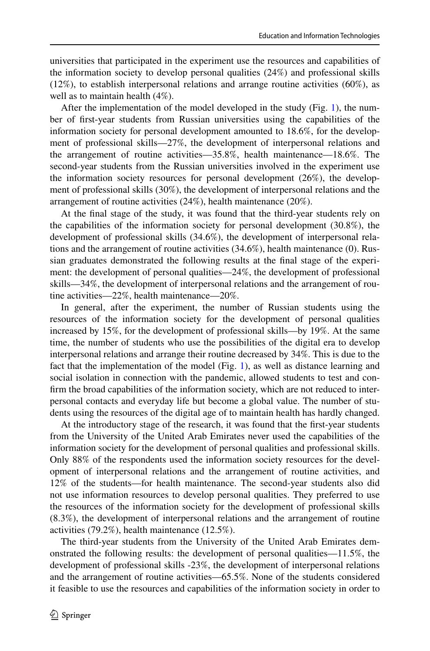universities that participated in the experiment use the resources and capabilities of the information society to develop personal qualities (24%) and professional skills (12%), to establish interpersonal relations and arrange routine activities (60%), as well as to maintain health (4%).

After the implementation of the model developed in the study (Fig. [1](#page-6-0)), the number of first-year students from Russian universities using the capabilities of the information society for personal development amounted to 18.6%, for the development of professional skills—27%, the development of interpersonal relations and the arrangement of routine activities—35.8%, health maintenance—18.6%. The second-year students from the Russian universities involved in the experiment use the information society resources for personal development (26%), the development of professional skills (30%), the development of interpersonal relations and the arrangement of routine activities (24%), health maintenance (20%).

At the final stage of the study, it was found that the third-year students rely on the capabilities of the information society for personal development (30.8%), the development of professional skills (34.6%), the development of interpersonal relations and the arrangement of routine activities (34.6%), health maintenance (0). Russian graduates demonstrated the following results at the final stage of the experiment: the development of personal qualities—24%, the development of professional skills—34%, the development of interpersonal relations and the arrangement of routine activities—22%, health maintenance—20%.

In general, after the experiment, the number of Russian students using the resources of the information society for the development of personal qualities increased by 15%, for the development of professional skills—by 19%. At the same time, the number of students who use the possibilities of the digital era to develop interpersonal relations and arrange their routine decreased by 34%. This is due to the fact that the implementation of the model (Fig. [1](#page-6-0)), as well as distance learning and social isolation in connection with the pandemic, allowed students to test and confirm the broad capabilities of the information society, which are not reduced to interpersonal contacts and everyday life but become a global value. The number of students using the resources of the digital age of to maintain health has hardly changed.

At the introductory stage of the research, it was found that the first-year students from the University of the United Arab Emirates never used the capabilities of the information society for the development of personal qualities and professional skills. Only 88% of the respondents used the information society resources for the development of interpersonal relations and the arrangement of routine activities, and 12% of the students—for health maintenance. The second-year students also did not use information resources to develop personal qualities. They preferred to use the resources of the information society for the development of professional skills (8.3%), the development of interpersonal relations and the arrangement of routine activities (79.2%), health maintenance (12.5%).

The third-year students from the University of the United Arab Emirates demonstrated the following results: the development of personal qualities—11.5%, the development of professional skills -23%, the development of interpersonal relations and the arrangement of routine activities—65.5%. None of the students considered it feasible to use the resources and capabilities of the information society in order to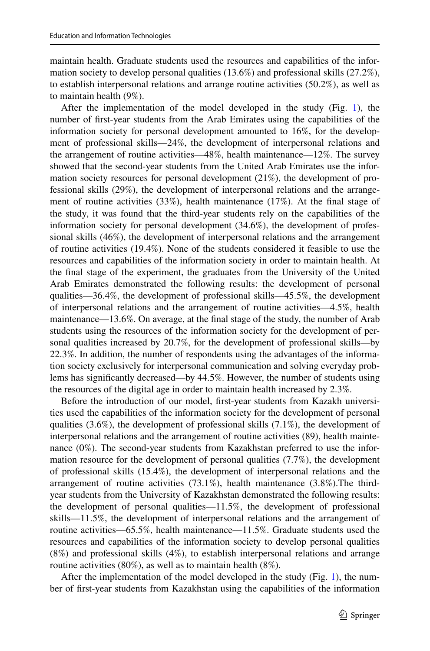maintain health. Graduate students used the resources and capabilities of the information society to develop personal qualities (13.6%) and professional skills (27.2%), to establish interpersonal relations and arrange routine activities (50.2%), as well as to maintain health (9%).

After the implementation of the model developed in the study (Fig. [1](#page-6-0)), the number of first-year students from the Arab Emirates using the capabilities of the information society for personal development amounted to 16%, for the development of professional skills—24%, the development of interpersonal relations and the arrangement of routine activities—48%, health maintenance—12%. The survey showed that the second-year students from the United Arab Emirates use the information society resources for personal development (21%), the development of professional skills (29%), the development of interpersonal relations and the arrangement of routine activities (33%), health maintenance (17%). At the final stage of the study, it was found that the third-year students rely on the capabilities of the information society for personal development (34.6%), the development of professional skills (46%), the development of interpersonal relations and the arrangement of routine activities (19.4%). None of the students considered it feasible to use the resources and capabilities of the information society in order to maintain health. At the final stage of the experiment, the graduates from the University of the United Arab Emirates demonstrated the following results: the development of personal qualities—36.4%, the development of professional skills—45.5%, the development of interpersonal relations and the arrangement of routine activities—4.5%, health maintenance—13.6%. On average, at the final stage of the study, the number of Arab students using the resources of the information society for the development of personal qualities increased by 20.7%, for the development of professional skills—by 22.3%. In addition, the number of respondents using the advantages of the information society exclusively for interpersonal communication and solving everyday problems has significantly decreased—by 44.5%. However, the number of students using the resources of the digital age in order to maintain health increased by 2.3%.

Before the introduction of our model, first-year students from Kazakh universities used the capabilities of the information society for the development of personal qualities  $(3.6\%)$ , the development of professional skills  $(7.1\%)$ , the development of interpersonal relations and the arrangement of routine activities (89), health maintenance (0%). The second-year students from Kazakhstan preferred to use the information resource for the development of personal qualities (7.7%), the development of professional skills (15.4%), the development of interpersonal relations and the arrangement of routine activities (73.1%), health maintenance (3.8%).The thirdyear students from the University of Kazakhstan demonstrated the following results: the development of personal qualities—11.5%, the development of professional skills—11.5%, the development of interpersonal relations and the arrangement of routine activities—65.5%, health maintenance—11.5%. Graduate students used the resources and capabilities of the information society to develop personal qualities (8%) and professional skills (4%), to establish interpersonal relations and arrange routine activities (80%), as well as to maintain health (8%).

After the implementation of the model developed in the study (Fig. [1](#page-6-0)), the number of first-year students from Kazakhstan using the capabilities of the information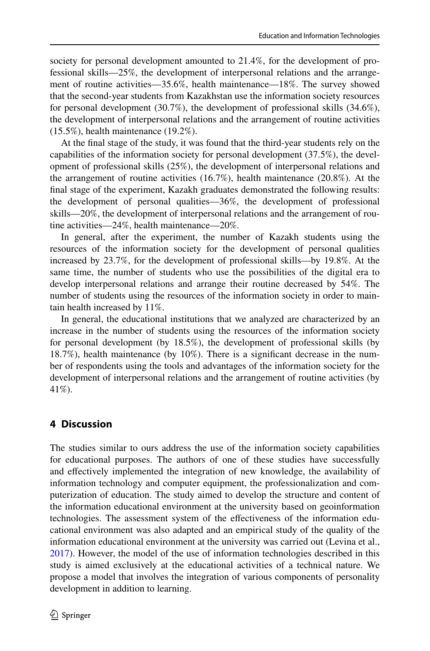society for personal development amounted to 21.4%, for the development of professional skills—25%, the development of interpersonal relations and the arrangement of routine activities—35.6%, health maintenance—18%. The survey showed that the second-year students from Kazakhstan use the information society resources for personal development (30.7%), the development of professional skills (34.6%), the development of interpersonal relations and the arrangement of routine activities (15.5%), health maintenance (19.2%).

At the final stage of the study, it was found that the third-year students rely on the capabilities of the information society for personal development (37.5%), the development of professional skills (25%), the development of interpersonal relations and the arrangement of routine activities (16.7%), health maintenance (20.8%). At the final stage of the experiment, Kazakh graduates demonstrated the following results: the development of personal qualities—36%, the development of professional skills—20%, the development of interpersonal relations and the arrangement of routine activities—24%, health maintenance—20%.

In general, after the experiment, the number of Kazakh students using the resources of the information society for the development of personal qualities increased by 23.7%, for the development of professional skills—by 19.8%. At the same time, the number of students who use the possibilities of the digital era to develop interpersonal relations and arrange their routine decreased by 54%. The number of students using the resources of the information society in order to maintain health increased by 11%.

In general, the educational institutions that we analyzed are characterized by an increase in the number of students using the resources of the information society for personal development (by 18.5%), the development of professional skills (by 18.7%), health maintenance (by 10%). There is a significant decrease in the number of respondents using the tools and advantages of the information society for the development of interpersonal relations and the arrangement of routine activities (by 41%).

## **4 Discussion**

The studies similar to ours address the use of the information society capabilities for educational purposes. The authors of one of these studies have successfully and effectively implemented the integration of new knowledge, the availability of information technology and computer equipment, the professionalization and computerization of education. The study aimed to develop the structure and content of the information educational environment at the university based on geoinformation technologies. The assessment system of the effectiveness of the information educational environment was also adapted and an empirical study of the quality of the information educational environment at the university was carried out (Levina et al., [2017](#page-17-16)). However, the model of the use of information technologies described in this study is aimed exclusively at the educational activities of a technical nature. We propose a model that involves the integration of various components of personality development in addition to learning.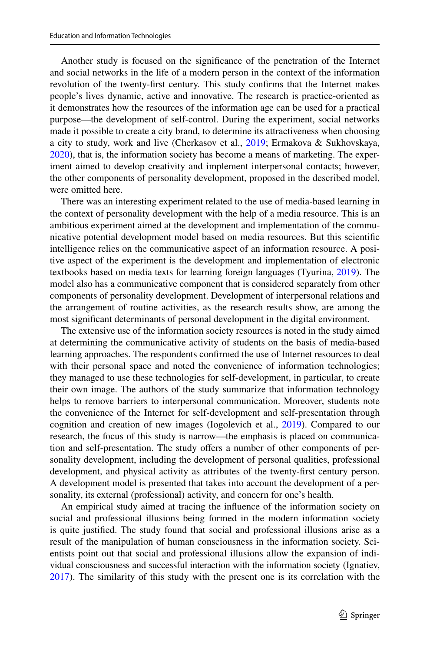Another study is focused on the significance of the penetration of the Internet and social networks in the life of a modern person in the context of the information revolution of the twenty-first century. This study confirms that the Internet makes people's lives dynamic, active and innovative. The research is practice-oriented as it demonstrates how the resources of the information age can be used for a practical purpose—the development of self-control. During the experiment, social networks made it possible to create a city brand, to determine its attractiveness when choosing a city to study, work and live (Cherkasov et al., [2019;](#page-17-17) Ermakova & Sukhovskaya, [2020](#page-17-18)), that is, the information society has become a means of marketing. The experiment aimed to develop creativity and implement interpersonal contacts; however, the other components of personality development, proposed in the described model, were omitted here.

There was an interesting experiment related to the use of media-based learning in the context of personality development with the help of a media resource. This is an ambitious experiment aimed at the development and implementation of the communicative potential development model based on media resources. But this scientific intelligence relies on the communicative aspect of an information resource. A positive aspect of the experiment is the development and implementation of electronic textbooks based on media texts for learning foreign languages (Tyurina, [2019](#page-18-1)). The model also has a communicative component that is considered separately from other components of personality development. Development of interpersonal relations and the arrangement of routine activities, as the research results show, are among the most significant determinants of personal development in the digital environment.

The extensive use of the information society resources is noted in the study aimed at determining the communicative activity of students on the basis of media-based learning approaches. The respondents confirmed the use of Internet resources to deal with their personal space and noted the convenience of information technologies; they managed to use these technologies for self-development, in particular, to create their own image. The authors of the study summarize that information technology helps to remove barriers to interpersonal communication. Moreover, students note the convenience of the Internet for self-development and self-presentation through cognition and creation of new images (Iogolevich et al., [2019](#page-17-3)). Compared to our research, the focus of this study is narrow—the emphasis is placed on communication and self-presentation. The study offers a number of other components of personality development, including the development of personal qualities, professional development, and physical activity as attributes of the twenty-first century person. A development model is presented that takes into account the development of a personality, its external (professional) activity, and concern for one's health.

An empirical study aimed at tracing the influence of the information society on social and professional illusions being formed in the modern information society is quite justified. The study found that social and professional illusions arise as a result of the manipulation of human consciousness in the information society. Scientists point out that social and professional illusions allow the expansion of individual consciousness and successful interaction with the information society (Ignatiev, [2017](#page-17-19)). The similarity of this study with the present one is its correlation with the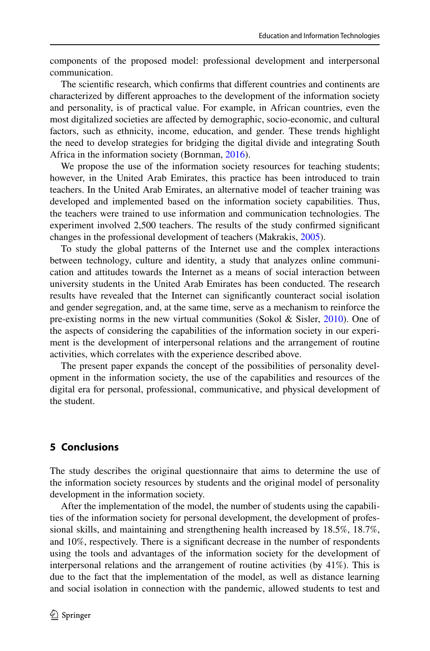components of the proposed model: professional development and interpersonal communication.

The scientific research, which confirms that different countries and continents are characterized by different approaches to the development of the information society and personality, is of practical value. For example, in African countries, even the most digitalized societies are affected by demographic, socio-economic, and cultural factors, such as ethnicity, income, education, and gender. These trends highlight the need to develop strategies for bridging the digital divide and integrating South Africa in the information society (Bornman, [2016](#page-16-7)).

We propose the use of the information society resources for teaching students; however, in the United Arab Emirates, this practice has been introduced to train teachers. In the United Arab Emirates, an alternative model of teacher training was developed and implemented based on the information society capabilities. Thus, the teachers were trained to use information and communication technologies. The experiment involved 2,500 teachers. The results of the study confirmed significant changes in the professional development of teachers (Makrakis, [2005](#page-17-20)).

To study the global patterns of the Internet use and the complex interactions between technology, culture and identity, a study that analyzes online communication and attitudes towards the Internet as a means of social interaction between university students in the United Arab Emirates has been conducted. The research results have revealed that the Internet can significantly counteract social isolation and gender segregation, and, at the same time, serve as a mechanism to reinforce the pre-existing norms in the new virtual communities (Sokol & Sisler, [2010\)](#page-18-14). One of the aspects of considering the capabilities of the information society in our experiment is the development of interpersonal relations and the arrangement of routine activities, which correlates with the experience described above.

The present paper expands the concept of the possibilities of personality development in the information society, the use of the capabilities and resources of the digital era for personal, professional, communicative, and physical development of the student.

# **5 Conclusions**

The study describes the original questionnaire that aims to determine the use of the information society resources by students and the original model of personality development in the information society.

After the implementation of the model, the number of students using the capabilities of the information society for personal development, the development of professional skills, and maintaining and strengthening health increased by 18.5%, 18.7%, and 10%, respectively. There is a significant decrease in the number of respondents using the tools and advantages of the information society for the development of interpersonal relations and the arrangement of routine activities (by 41%). This is due to the fact that the implementation of the model, as well as distance learning and social isolation in connection with the pandemic, allowed students to test and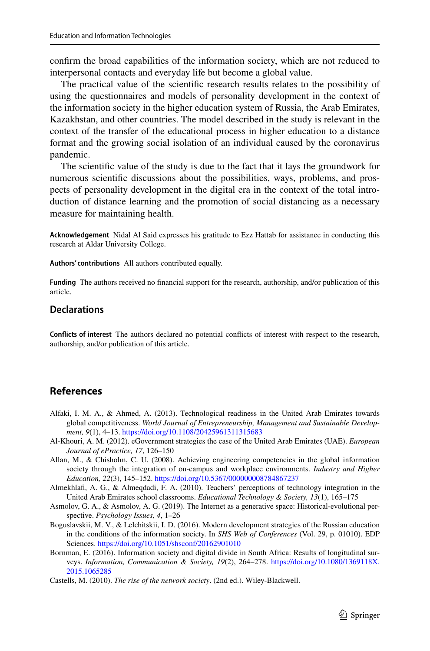confirm the broad capabilities of the information society, which are not reduced to interpersonal contacts and everyday life but become a global value.

The practical value of the scientific research results relates to the possibility of using the questionnaires and models of personality development in the context of the information society in the higher education system of Russia, the Arab Emirates, Kazakhstan, and other countries. The model described in the study is relevant in the context of the transfer of the educational process in higher education to a distance format and the growing social isolation of an individual caused by the coronavirus pandemic.

The scientific value of the study is due to the fact that it lays the groundwork for numerous scientific discussions about the possibilities, ways, problems, and prospects of personality development in the digital era in the context of the total introduction of distance learning and the promotion of social distancing as a necessary measure for maintaining health.

**Acknowledgement** Nidal Al Said expresses his gratitude to Ezz Hattab for assistance in conducting this research at Aldar University College.

**Authors' contributions** All authors contributed equally.

**Funding** The authors received no financial support for the research, authorship, and/or publication of this article.

#### **Declarations**

**Conflicts of interest** The authors declared no potential conflicts of interest with respect to the research, authorship, and/or publication of this article.

## **References**

- <span id="page-16-5"></span>Alfaki, I. M. A., & Ahmed, A. (2013). Technological readiness in the United Arab Emirates towards global competitiveness. *World Journal of Entrepreneurship, Management and Sustainable Development,* 9(1), 4-13. https://doi.org/10.1108/20425961311315683
- <span id="page-16-6"></span>Al-Khouri, A. M. (2012). eGovernment strategies the case of the United Arab Emirates (UAE). *European Journal of ePractice, 17*, 126–150
- <span id="page-16-0"></span>Allan, M., & Chisholm, C. U. (2008). Achieving engineering competencies in the global information society through the integration of on-campus and workplace environments. *Industry and Higher*  Education, 22(3), 145-152. https://doi.org/10.5367/000000008784867237
- <span id="page-16-4"></span>Almekhlafi, A. G., & Almeqdadi, F. A. (2010). Teachers' perceptions of technology integration in the United Arab Emirates school classrooms. *Educational Technology & Society, 13*(1), 165–175
- <span id="page-16-3"></span>Asmolov, G. A., & Asmolov, A. G. (2019). The Internet as a generative space: Historical-evolutional perspective. *Psychology Issues, 4*, 1–26
- <span id="page-16-2"></span>Boguslavskii, M. V., & Lelchitskii, I. D. (2016). Modern development strategies of the Russian education in the conditions of the information society. In *SHS Web of Conferences* (Vol. 29, p. 01010). EDP Sciences. https://doi.org/10.1051/shsconf/20162901010
- <span id="page-16-7"></span>Bornman, E. (2016). Information society and digital divide in South Africa: Results of longitudinal surveys. *Information, Communication & Society, 19*(2), 264–278. [https:// doi. org/ 10. 1080/ 13691 18X.](https://doi.org/10.1080/1369118X.2015.1065285) 2015.1065285
- <span id="page-16-1"></span>Castells, M. (2010). *The rise of the network society*. (2nd ed.). Wiley-Blackwell.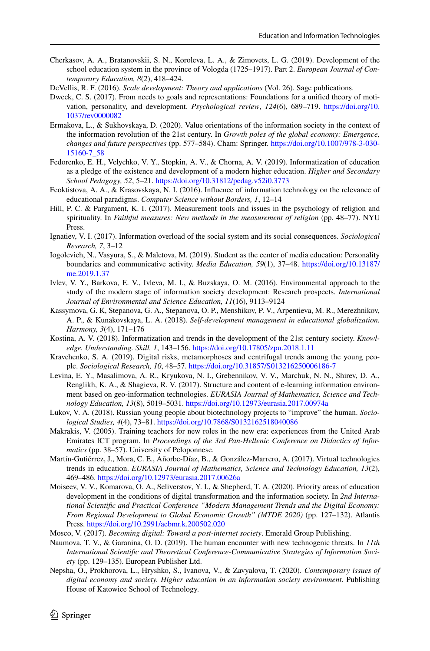- <span id="page-17-17"></span>Cherkasov, A. A., Bratanovskii, S. N., Koroleva, L. A., & Zimovets, L. G. (2019). Development of the school education system in the province of Vologda (1725–1917). Part 2. *European Journal of Contemporary Education, 8*(2), 418–424.
- <span id="page-17-13"></span>DeVellis, R. F. (2016). *Scale development: Theory and applications* (Vol. 26). Sage publications.
- <span id="page-17-14"></span>Dweck, C. S. (2017). From needs to goals and representations: Foundations for a unified theory of motivation, personality, and development. *Psychological review*, *124*(6), 689–719. [https:// doi. org/ 10.](https://doi.org/10.1037/rev0000082) 1037/rev0000082
- <span id="page-17-18"></span>Ermakova, L., & Sukhovskaya, D. (2020). Value orientations of the information society in the context of the information revolution of the 21st century. In *Growth poles of the global economy: Emergence, changes and future perspectives* (pp. 577–584). Cham: Springer. https://doi.org/10.1007/978-3-030-[15160-7\\_ 58](https://doi.org/10.1007/978-3-030-15160-7_58)
- <span id="page-17-2"></span>Fedorenko, E. H., Velychko, V. Y., Stopkin, A. V., & Chorna, A. V. (2019). Informatization of education as a pledge of the existence and development of a modern higher education. *Higher and Secondary School Pedagogy, 52*, 5–21. [https:// doi. org/ 10. 31812/ pedag. v52i0. 3773](https://doi.org/10.31812/pedag.v52i0.3773)
- <span id="page-17-11"></span>Feoktistova, A. A., & Krasovskaya, N. I. (2016). Influence of information technology on the relevance of educational paradigms. *Computer Science without Borders, 1*, 12–14
- <span id="page-17-15"></span>Hill, P. C. & Pargament, K. I. (2017). Measurement tools and issues in the psychology of religion and spirituality. In *Faithful measures: New methods in the measurement of religion* (pp. 48–77). NYU Press.
- <span id="page-17-19"></span>Ignatiev, V. I. (2017). Information overload of the social system and its social consequences. *Sociological Research, 7*, 3–12
- <span id="page-17-3"></span>Iogolevich, N., Vasyura, S., & Maletova, M. (2019). Student as the center of media education: Personality boundaries and communicative activity. *Media Education, 59*(1), 37–48. [https:// doi. org/ 10. 13187/](https://doi.org/10.13187/me.2019.1.37) [me. 2019.1. 37](https://doi.org/10.13187/me.2019.1.37)
- <span id="page-17-4"></span>Ivlev, V. Y., Barkova, E. V., Ivleva, M. I., & Buzskaya, O. M. (2016). Environmental approach to the study of the modern stage of information society development: Research prospects. *International Journal of Environmental and Science Education, 11*(16), 9113–9124
- <span id="page-17-5"></span>Kassymova, G. К, Stepanova, G. A., Stepanova, O. P., Menshikov, P. V., Arpentieva, M. R., Merezhnikov, A. P., & Kunakovskaya, L. A. (2018). *Self-development management in educational globalization. Harmony, 3*(4), 171–176
- <span id="page-17-9"></span>Kostina, A. V. (2018). Informatization and trends in the development of the 21st century society. *Knowledge. Understanding. Skill, 1, 143-156. https://doi.org/10.17805/zpu.2018.1.11*
- <span id="page-17-8"></span>Kravchenko, S. A. (2019). Digital risks, metamorphoses and centrifugal trends among the young people. *Sociological Research, 10, 48–57.* https://doi.org/10.31857/S013216250006186-7
- <span id="page-17-16"></span>Levina, E. Y., Masalimova, A. R., Kryukova, N. I., Grebennikov, V. V., Marchuk, N. N., Shirev, D. A., Renglikh, K. A., & Shagieva, R. V. (2017). Structure and content of e-learning information environment based on geo-information technologies. *EURASIA Journal of Mathematics, Science and Technology Education, 13*(8), 5019-5031. https://doi.org/10.12973/eurasia.2017.00974a
- <span id="page-17-7"></span>Lukov, V. A. (2018). Russian young people about biotechnology projects to "improve" the human. *Sociological Studies, 4(4), 73-81. https://doi.org/10.7868/S0132162518040086*
- <span id="page-17-20"></span>Makrakis, V. (2005). Training teachers for new roles in the new era: experiences from the United Arab Emirates ICT program. In *Proceedings of the 3rd Pan-Hellenic Conference on Didactics of Informatics* (pp. 38–57). University of Peloponnese.
- <span id="page-17-12"></span>Martín-Gutiérrez, J., Mora, C. E., Añorbe-Díaz, B., & González-Marrero, A. (2017). Virtual technologies trends in education. *EURASIA Journal of Mathematics, Science and Technology Education, 13*(2), 469–486. https://doi.org/10.12973/eurasia.2017.00626a
- <span id="page-17-0"></span>Moiseev, V. V., Komarova, O. A., Seliverstov, Y. I., & Shepherd, T. A. (2020). Priority areas of education development in the conditions of digital transformation and the information society. In *2nd International Scientific and Practical Conference "Modern Management Trends and the Digital Economy: From Regional Development to Global Economic Growth" (MTDE 2020)* (pp. 127–132). Atlantis Press. https://doi.org/10.2991/aebmr.k.200502.020
- <span id="page-17-6"></span>Mosco, V. (2017). *Becoming digital: Toward a post-internet society*. Emerald Group Publishing.
- <span id="page-17-10"></span>Naumova, T. V., & Garanina, O. D. (2019). The human encounter with new technogenic threats. In *11th International Scientific and Theoretical Conference-Communicative Strategies of Information Society* (pp. 129–135). European Publisher Ltd.
- <span id="page-17-1"></span>Nepsha, O., Prokhorova, L., Hryshko, S., Ivanova, V., & Zavyalova, T. (2020). *Contemporary issues of digital economy and society. Higher education in an information society environment*. Publishing House of Katowice School of Technology.